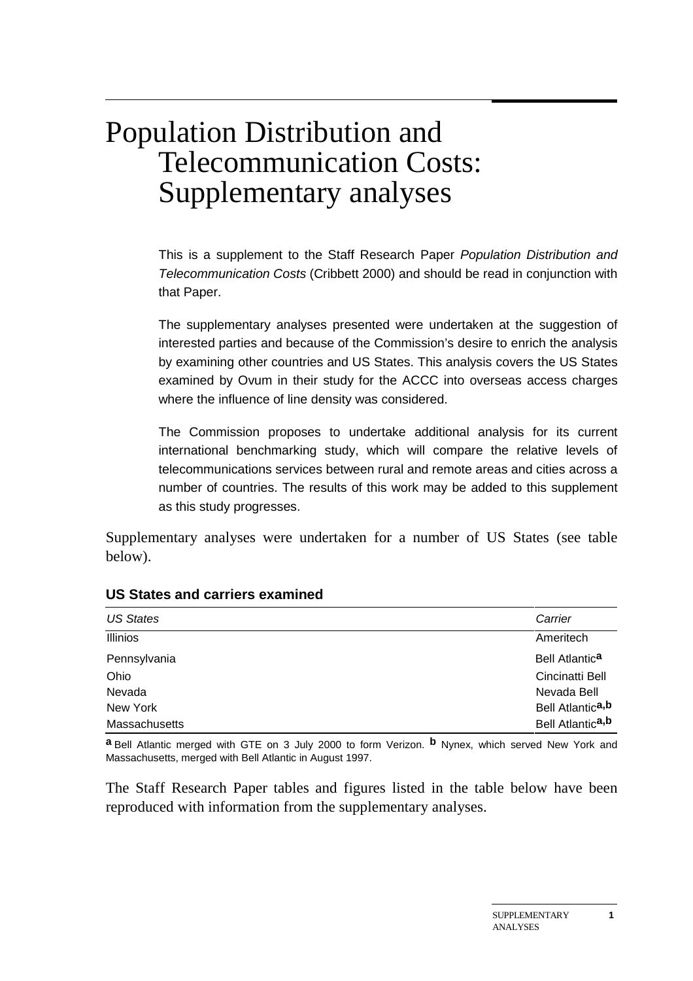# Population Distribution and Telecommunication Costs: Supplementary analyses

This is a supplement to the Staff Research Paper Population Distribution and Telecommunication Costs (Cribbett 2000) and should be read in conjunction with that Paper.

The supplementary analyses presented were undertaken at the suggestion of interested parties and because of the Commission's desire to enrich the analysis by examining other countries and US States. This analysis covers the US States examined by Ovum in their study for the ACCC into overseas access charges where the influence of line density was considered.

The Commission proposes to undertake additional analysis for its current international benchmarking study, which will compare the relative levels of telecommunications services between rural and remote areas and cities across a number of countries. The results of this work may be added to this supplement as this study progresses.

Supplementary analyses were undertaken for a number of US States (see table below).

| <b>US States</b> | Carrier                      |
|------------------|------------------------------|
| <b>Illinios</b>  | Ameritech                    |
| Pennsylvania     | Bell Atlantic <sup>a</sup>   |
| Ohio             | Cincinatti Bell              |
| Nevada           | Nevada Bell                  |
| New York         | Bell Atlantic <sup>a,b</sup> |
| Massachusetts    | Bell Atlantic <sup>a,b</sup> |

# **US States and carriers examined**

**a** Bell Atlantic merged with GTE on 3 July 2000 to form Verizon. **b** Nynex, which served New York and Massachusetts, merged with Bell Atlantic in August 1997.

The Staff Research Paper tables and figures listed in the table below have been reproduced with information from the supplementary analyses.

**1**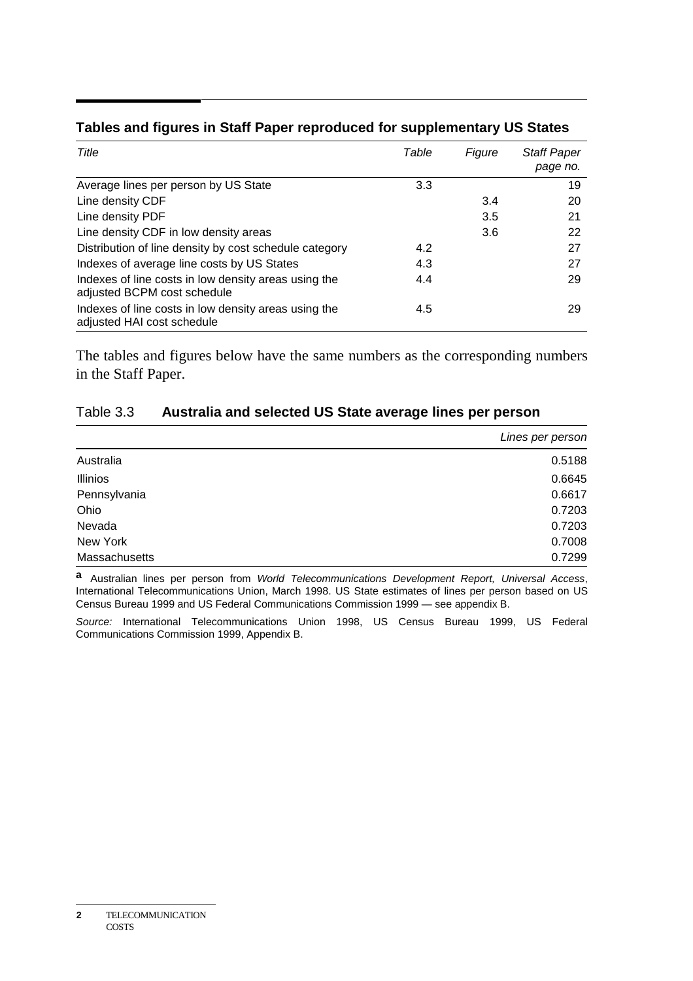| Title                                                                               | Table | Figure | <b>Staff Paper</b><br>page no. |
|-------------------------------------------------------------------------------------|-------|--------|--------------------------------|
| Average lines per person by US State                                                | 3.3   |        | 19                             |
| Line density CDF                                                                    |       | 3.4    | 20                             |
| Line density PDF                                                                    |       | 3.5    | 21                             |
| Line density CDF in low density areas                                               |       | 3.6    | 22                             |
| Distribution of line density by cost schedule category                              | 4.2   |        | 27                             |
| Indexes of average line costs by US States                                          | 4.3   |        | 27                             |
| Indexes of line costs in low density areas using the<br>adjusted BCPM cost schedule | 4.4   |        | 29                             |
| Indexes of line costs in low density areas using the<br>adjusted HAI cost schedule  | 4.5   |        | 29                             |

# **Tables and figures in Staff Paper reproduced for supplementary US States**

The tables and figures below have the same numbers as the corresponding numbers in the Staff Paper.

## Table 3.3 **Australia and selected US State average lines per person**

|                 | Lines per person |
|-----------------|------------------|
| Australia       | 0.5188           |
| <b>Illinios</b> | 0.6645           |
| Pennsylvania    | 0.6617           |
| Ohio            | 0.7203           |
| Nevada          | 0.7203           |
| New York        | 0.7008           |
| Massachusetts   | 0.7299           |

**a** Australian lines per person from World Telecommunications Development Report, Universal Access, International Telecommunications Union, March 1998. US State estimates of lines per person based on US Census Bureau 1999 and US Federal Communications Commission 1999 — see appendix B.

Source: International Telecommunications Union 1998, US Census Bureau 1999, US Federal Communications Commission 1999, Appendix B.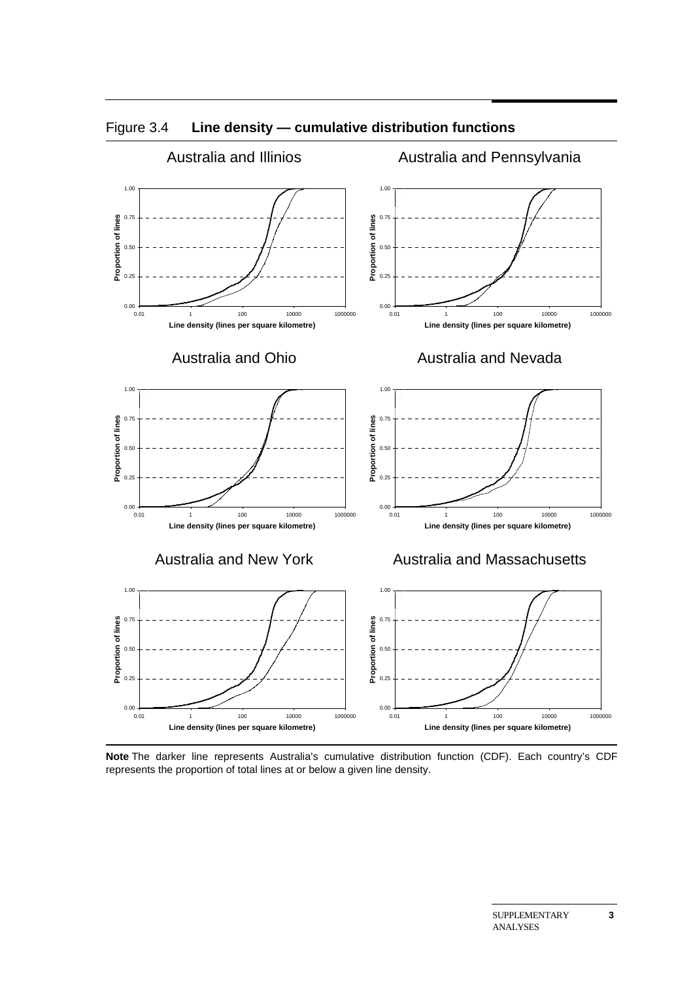

Figure 3.4 **Line density — cumulative distribution functions**

**Note** The darker line represents Australia's cumulative distribution function (CDF). Each country's CDF represents the proportion of total lines at or below a given line density.

**3**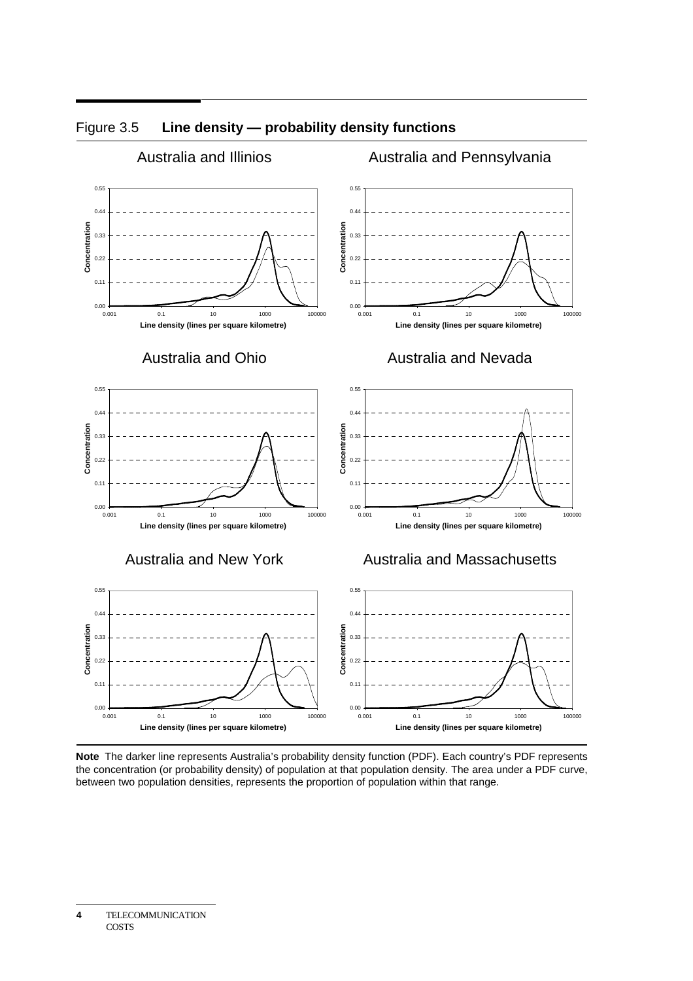

## Figure 3.5 **Line density — probability density functions**

**Note** The darker line represents Australia's probability density function (PDF). Each country's PDF represents the concentration (or probability density) of population at that population density. The area under a PDF curve, between two population densities, represents the proportion of population within that range.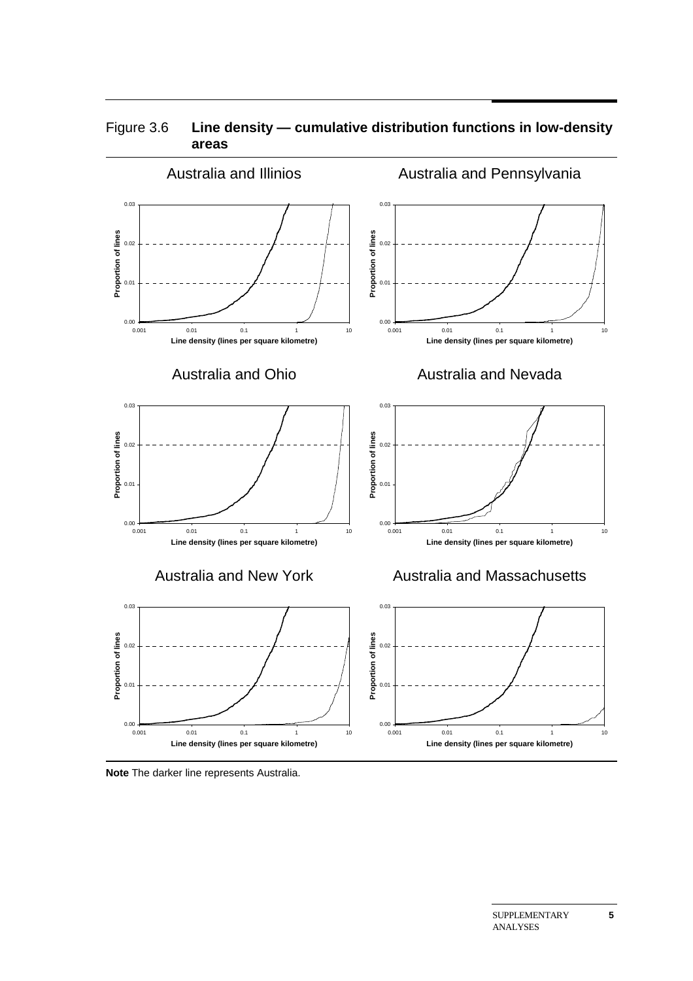

 $0.00 - 0.001$ 

0.01

## Figure 3.6 **Line density — cumulative distribution functions in low-density areas**

**Note** The darker line represents Australia.

0.001 0.01 0.1 1 10 **Line density (lines per square kilometre)**

 $0.00 - 0.001$ 

0.01

0.001 0.01 0.1 1 10 **Line density (lines per square kilometre)**

**5**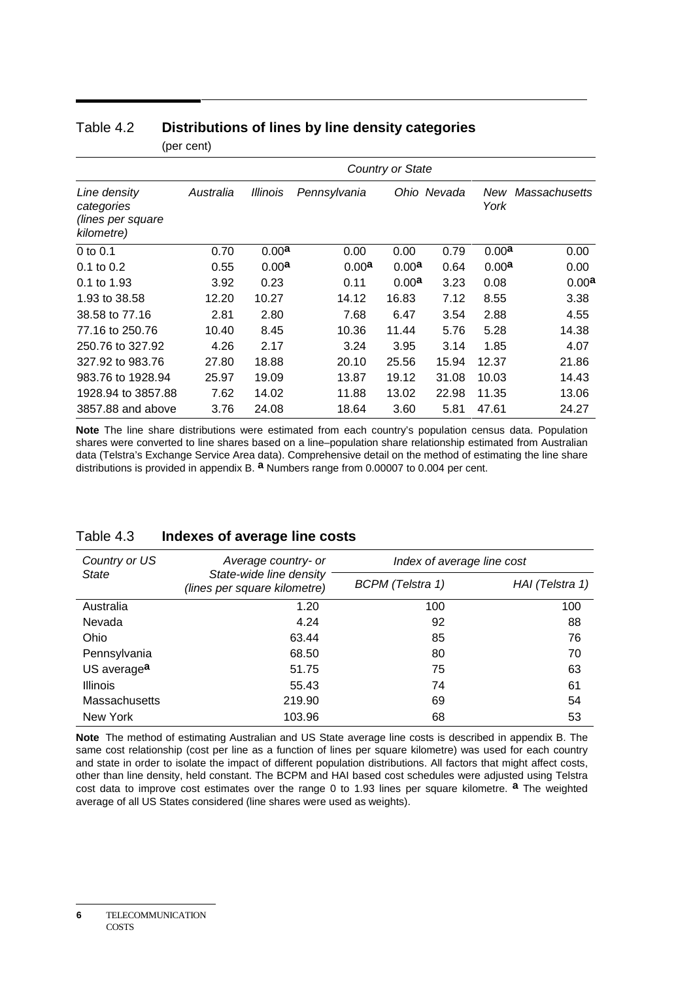|                                                               |           |                   |                   | <b>Country or State</b> |             |                   |                   |
|---------------------------------------------------------------|-----------|-------------------|-------------------|-------------------------|-------------|-------------------|-------------------|
| Line density<br>categories<br>(lines per square<br>kilometre) | Australia | <b>Illinois</b>   | Pennsylvania      |                         | Ohio Nevada | New<br>York       | Massachusetts     |
| $0$ to $0.1$                                                  | 0.70      | 0.00 <sup>a</sup> | 0.00              | 0.00                    | 0.79        | 0.00 <sup>a</sup> | 0.00              |
| $0.1$ to $0.2$                                                | 0.55      | 0.00 <sup>a</sup> | 0.00 <sup>a</sup> | 0.00 <sup>a</sup>       | 0.64        | 0.00 <sup>a</sup> | 0.00              |
| 0.1 to 1.93                                                   | 3.92      | 0.23              | 0.11              | 0.00 <sup>a</sup>       | 3.23        | 0.08              | 0.00 <sup>a</sup> |
| 1.93 to 38.58                                                 | 12.20     | 10.27             | 14.12             | 16.83                   | 7.12        | 8.55              | 3.38              |
| 38.58 to 77.16                                                | 2.81      | 2.80              | 7.68              | 6.47                    | 3.54        | 2.88              | 4.55              |
| 77.16 to 250.76                                               | 10.40     | 8.45              | 10.36             | 11.44                   | 5.76        | 5.28              | 14.38             |
| 250.76 to 327.92                                              | 4.26      | 2.17              | 3.24              | 3.95                    | 3.14        | 1.85              | 4.07              |
| 327.92 to 983.76                                              | 27.80     | 18.88             | 20.10             | 25.56                   | 15.94       | 12.37             | 21.86             |
| 983.76 to 1928.94                                             | 25.97     | 19.09             | 13.87             | 19.12                   | 31.08       | 10.03             | 14.43             |
| 1928.94 to 3857.88                                            | 7.62      | 14.02             | 11.88             | 13.02                   | 22.98       | 11.35             | 13.06             |
| 3857.88 and above                                             | 3.76      | 24.08             | 18.64             | 3.60                    | 5.81        | 47.61             | 24.27             |

## Table 4.2 **Distributions of lines by line density categories** (per cent)

**Note** The line share distributions were estimated from each country's population census data. Population shares were converted to line shares based on a line–population share relationship estimated from Australian data (Telstra's Exchange Service Area data). Comprehensive detail on the method of estimating the line share distributions is provided in appendix B. **a** Numbers range from 0.00007 to 0.004 per cent.

| Country or US           | Average country- or                                     | Index of average line cost |                 |
|-------------------------|---------------------------------------------------------|----------------------------|-----------------|
| State                   | State-wide line density<br>(lines per square kilometre) | <b>BCPM</b> (Telstra 1)    | HAI (Telstra 1) |
| Australia               | 1.20                                                    | 100                        | 100             |
| Nevada                  | 4.24                                                    | 92                         | 88              |
| <b>Ohio</b>             | 63.44                                                   | 85                         | 76              |
| Pennsylvania            | 68.50                                                   | 80                         | 70              |
| US average <sup>a</sup> | 51.75                                                   | 75                         | 63              |
| <b>Illinois</b>         | 55.43                                                   | 74                         | 61              |
| Massachusetts           | 219.90                                                  | 69                         | 54              |
| New York                | 103.96                                                  | 68                         | 53              |

#### Table 4.3 **Indexes of average line costs**

**Note** The method of estimating Australian and US State average line costs is described in appendix B. The same cost relationship (cost per line as a function of lines per square kilometre) was used for each country and state in order to isolate the impact of different population distributions. All factors that might affect costs, other than line density, held constant. The BCPM and HAI based cost schedules were adjusted using Telstra cost data to improve cost estimates over the range 0 to 1.93 lines per square kilometre. **a** The weighted average of all US States considered (line shares were used as weights).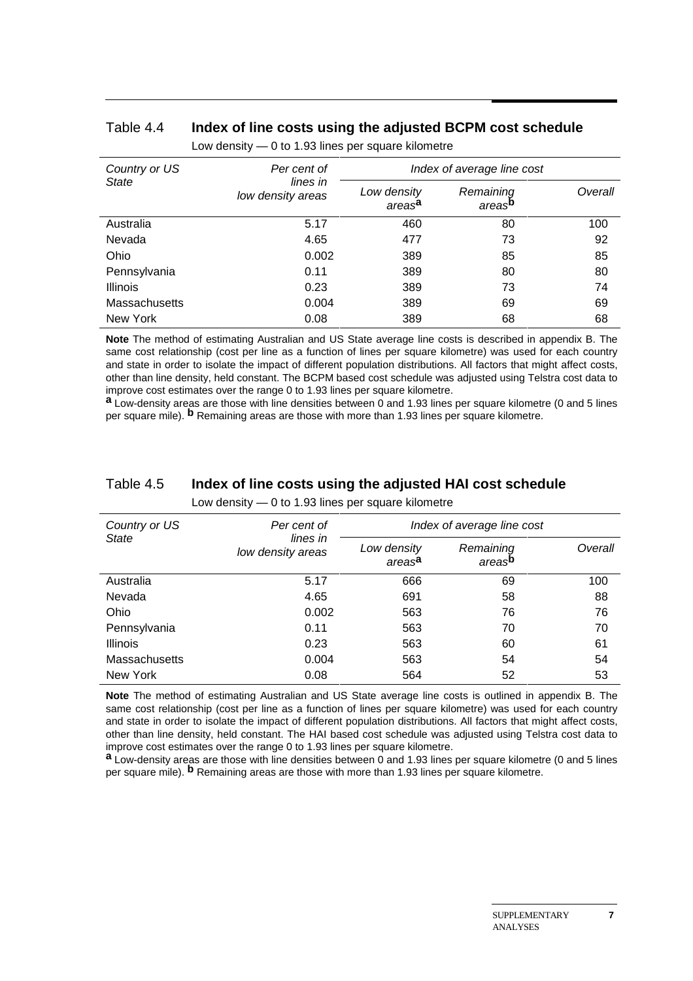#### Table 4.4 **Index of line costs using the adjusted BCPM cost schedule** Low density — 0 to 1.93 lines per square kilometre

| Country or US   | Per cent of                   | Index of average line cost        |                                 |         |
|-----------------|-------------------------------|-----------------------------------|---------------------------------|---------|
| <b>State</b>    | lines in<br>low density areas | Low density<br>areas <sup>a</sup> | Remaining<br>areas <sup>p</sup> | Overall |
| Australia       | 5.17                          | 460                               | 80                              | 100     |
| Nevada          | 4.65                          | 477                               | 73                              | 92      |
| Ohio            | 0.002                         | 389                               | 85                              | 85      |
| Pennsylvania    | 0.11                          | 389                               | 80                              | 80      |
| <b>Illinois</b> | 0.23                          | 389                               | 73                              | 74      |
| Massachusetts   | 0.004                         | 389                               | 69                              | 69      |
| New York        | 0.08                          | 389                               | 68                              | 68      |

**Note** The method of estimating Australian and US State average line costs is described in appendix B. The same cost relationship (cost per line as a function of lines per square kilometre) was used for each country and state in order to isolate the impact of different population distributions. All factors that might affect costs, other than line density, held constant. The BCPM based cost schedule was adjusted using Telstra cost data to improve cost estimates over the range 0 to 1.93 lines per square kilometre.

**a** Low-density areas are those with line densities between 0 and 1.93 lines per square kilometre (0 and 5 lines per square mile). **b** Remaining areas are those with more than 1.93 lines per square kilometre.

| Country or US<br>Per cent of<br><b>State</b><br>lines in<br>low density areas |                                   |                                 | Index of average line cost |     |  |
|-------------------------------------------------------------------------------|-----------------------------------|---------------------------------|----------------------------|-----|--|
|                                                                               | Low density<br>areas <sup>a</sup> | Remaining<br>areas <sup>p</sup> | Overall                    |     |  |
| Australia                                                                     | 5.17                              | 666                             | 69                         | 100 |  |
| Nevada                                                                        | 4.65                              | 691                             | 58                         | 88  |  |
| Ohio                                                                          | 0.002                             | 563                             | 76                         | 76  |  |
| Pennsylvania                                                                  | 0.11                              | 563                             | 70                         | 70  |  |
| <b>Illinois</b>                                                               | 0.23                              | 563                             | 60                         | 61  |  |
| <b>Massachusetts</b>                                                          | 0.004                             | 563                             | 54                         | 54  |  |
| New York                                                                      | 0.08                              | 564                             | 52                         | 53  |  |

## Table 4.5 **Index of line costs using the adjusted HAI cost schedule**

Low density — 0 to 1.93 lines per square kilometre

**Note** The method of estimating Australian and US State average line costs is outlined in appendix B. The same cost relationship (cost per line as a function of lines per square kilometre) was used for each country and state in order to isolate the impact of different population distributions. All factors that might affect costs, other than line density, held constant. The HAI based cost schedule was adjusted using Telstra cost data to improve cost estimates over the range 0 to 1.93 lines per square kilometre.

**a** Low-density areas are those with line densities between 0 and 1.93 lines per square kilometre (0 and 5 lines per square mile). **b** Remaining areas are those with more than 1.93 lines per square kilometre.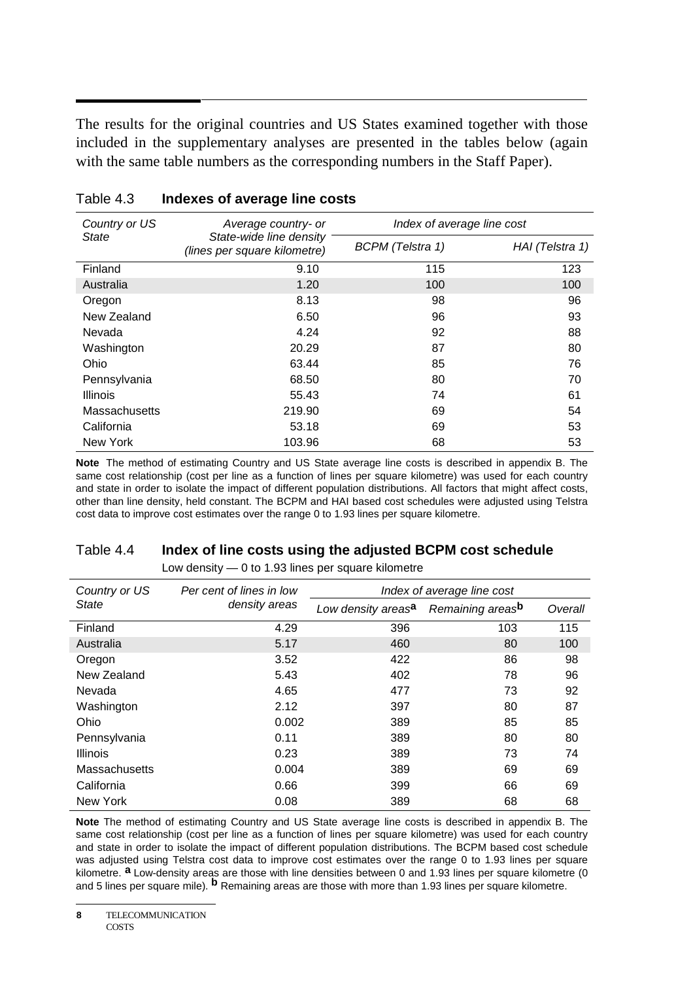The results for the original countries and US States examined together with those included in the supplementary analyses are presented in the tables below (again with the same table numbers as the corresponding numbers in the Staff Paper).

| Country or US   | Average country- or                                     | Index of average line cost |                 |
|-----------------|---------------------------------------------------------|----------------------------|-----------------|
| State           | State-wide line density<br>(lines per square kilometre) | <b>BCPM</b> (Telstra 1)    | HAI (Telstra 1) |
| Finland         | 9.10                                                    | 115                        | 123             |
| Australia       | 1.20                                                    | 100                        | 100             |
| Oregon          | 8.13                                                    | 98                         | 96              |
| New Zealand     | 6.50                                                    | 96                         | 93              |
| Nevada          | 4.24                                                    | 92                         | 88              |
| Washington      | 20.29                                                   | 87                         | 80              |
| Ohio            | 63.44                                                   | 85                         | 76              |
| Pennsylvania    | 68.50                                                   | 80                         | 70              |
| <b>Illinois</b> | 55.43                                                   | 74                         | 61              |
| Massachusetts   | 219.90                                                  | 69                         | 54              |
| California      | 53.18                                                   | 69                         | 53              |
| New York        | 103.96                                                  | 68                         | 53              |

#### Table 4.3 **Indexes of average line costs**

**Note** The method of estimating Country and US State average line costs is described in appendix B. The same cost relationship (cost per line as a function of lines per square kilometre) was used for each country and state in order to isolate the impact of different population distributions. All factors that might affect costs, other than line density, held constant. The BCPM and HAI based cost schedules were adjusted using Telstra cost data to improve cost estimates over the range 0 to 1.93 lines per square kilometre.

#### Table 4.4 **Index of line costs using the adjusted BCPM cost schedule**

Low density — 0 to 1.93 lines per square kilometre

| Country or US   | Per cent of lines in low | Index of average line cost     |                  |         |
|-----------------|--------------------------|--------------------------------|------------------|---------|
| State           | density areas            | Low density areas <sup>a</sup> | Remaining areasb | Overall |
| Finland         | 4.29                     | 396                            | 103              | 115     |
| Australia       | 5.17                     | 460                            | 80               | 100     |
| Oregon          | 3.52                     | 422                            | 86               | 98      |
| New Zealand     | 5.43                     | 402                            | 78               | 96      |
| Nevada          | 4.65                     | 477                            | 73               | 92      |
| Washington      | 2.12                     | 397                            | 80               | 87      |
| Ohio            | 0.002                    | 389                            | 85               | 85      |
| Pennsylvania    | 0.11                     | 389                            | 80               | 80      |
| <b>Illinois</b> | 0.23                     | 389                            | 73               | 74      |
| Massachusetts   | 0.004                    | 389                            | 69               | 69      |
| California      | 0.66                     | 399                            | 66               | 69      |
| New York        | 0.08                     | 389                            | 68               | 68      |

**Note** The method of estimating Country and US State average line costs is described in appendix B. The same cost relationship (cost per line as a function of lines per square kilometre) was used for each country and state in order to isolate the impact of different population distributions. The BCPM based cost schedule was adjusted using Telstra cost data to improve cost estimates over the range 0 to 1.93 lines per square kilometre. **a** Low-density areas are those with line densities between 0 and 1.93 lines per square kilometre (0 and 5 lines per square mile). **b** Remaining areas are those with more than 1.93 lines per square kilometre.